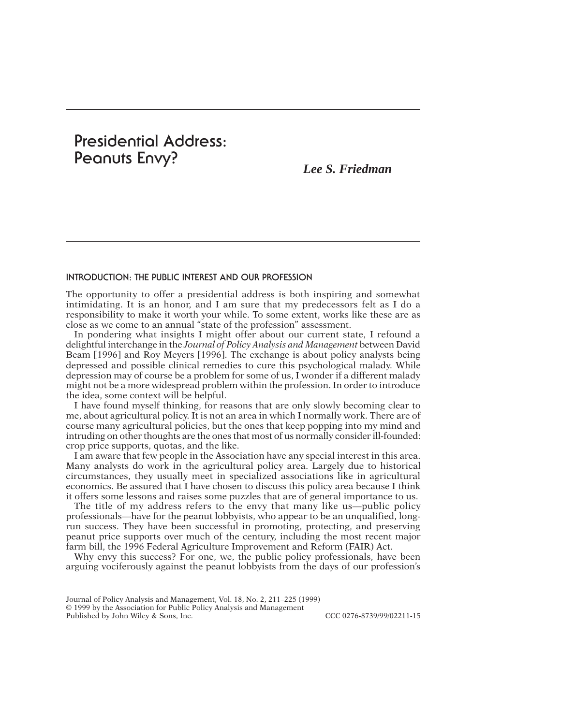# **Presidential Address: Peanuts Envy?**

*Lee S. Friedman*

## **INTRODUCTION: THE PUBLIC INTEREST AND OUR PROFESSION**

The opportunity to offer a presidential address is both inspiring and somewhat intimidating. It is an honor, and I am sure that my predecessors felt as I do a responsibility to make it worth your while. To some extent, works like these are as close as we come to an annual "state of the profession" assessment.

In pondering what insights I might offer about our current state, I refound a delightful interchange in the *Journal of Policy Analysis and Management* between David Beam [1996] and Roy Meyers [1996]. The exchange is about policy analysts being depressed and possible clinical remedies to cure this psychological malady. While depression may of course be a problem for some of us, I wonder if a different malady might not be a more widespread problem within the profession. In order to introduce the idea, some context will be helpful.

I have found myself thinking, for reasons that are only slowly becoming clear to me, about agricultural policy. It is not an area in which I normally work. There are of course many agricultural policies, but the ones that keep popping into my mind and intruding on other thoughts are the ones that most of us normally consider ill-founded: crop price supports, quotas, and the like.

I am aware that few people in the Association have any special interest in this area. Many analysts do work in the agricultural policy area. Largely due to historical circumstances, they usually meet in specialized associations like in agricultural economics. Be assured that I have chosen to discuss this policy area because I think it offers some lessons and raises some puzzles that are of general importance to us.

The title of my address refers to the envy that many like us—public policy professionals—have for the peanut lobbyists, who appear to be an unqualified, longrun success. They have been successful in promoting, protecting, and preserving peanut price supports over much of the century, including the most recent major farm bill, the 1996 Federal Agriculture Improvement and Reform (FAIR) Act.

Why envy this success? For one, we, the public policy professionals, have been arguing vociferously against the peanut lobbyists from the days of our profession's

Journal of Policy Analysis and Management, Vol. 18, No. 2, 211–225 (1999) © 1999 by the Association for Public Policy Analysis and Management Published by John Wiley & Sons, Inc. CCC 0276-8739/99/02211-15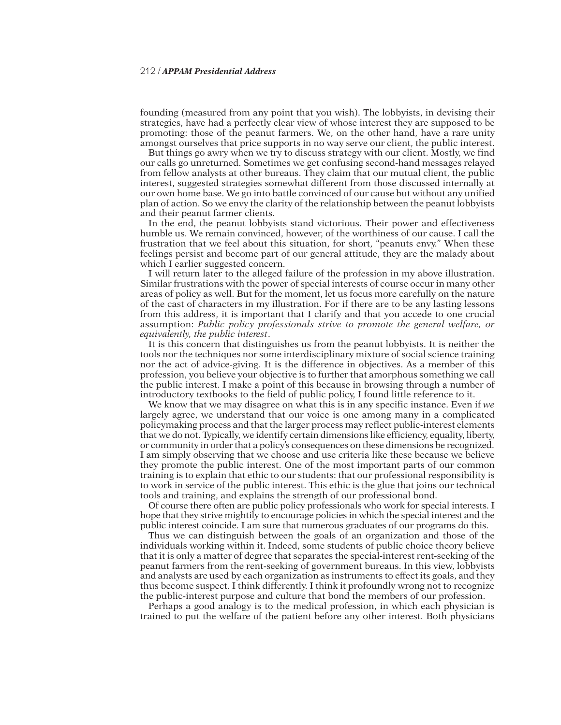founding (measured from any point that you wish). The lobbyists, in devising their strategies, have had a perfectly clear view of whose interest they are supposed to be promoting: those of the peanut farmers. We, on the other hand, have a rare unity amongst ourselves that price supports in no way serve our client, the public interest.

But things go awry when we try to discuss strategy with our client. Mostly, we find our calls go unreturned. Sometimes we get confusing second-hand messages relayed from fellow analysts at other bureaus. They claim that our mutual client, the public interest, suggested strategies somewhat different from those discussed internally at our own home base. We go into battle convinced of our cause but without any unified plan of action. So we envy the clarity of the relationship between the peanut lobbyists and their peanut farmer clients.

In the end, the peanut lobbyists stand victorious. Their power and effectiveness humble us. We remain convinced, however, of the worthiness of our cause. I call the frustration that we feel about this situation, for short, "peanuts envy." When these feelings persist and become part of our general attitude, they are the malady about which I earlier suggested concern.

I will return later to the alleged failure of the profession in my above illustration. Similar frustrations with the power of special interests of course occur in many other areas of policy as well. But for the moment, let us focus more carefully on the nature of the cast of characters in my illustration. For if there are to be any lasting lessons from this address, it is important that I clarify and that you accede to one crucial assumption: *Public policy professionals strive to promote the general welfare, or equivalently, the public interest*.

It is this concern that distinguishes us from the peanut lobbyists. It is neither the tools nor the techniques nor some interdisciplinary mixture of social science training nor the act of advice-giving. It is the difference in objectives. As a member of this profession, you believe your objective is to further that amorphous something we call the public interest. I make a point of this because in browsing through a number of introductory textbooks to the field of public policy, I found little reference to it.

We know that we may disagree on what this is in any specific instance. Even if *we* largely agree, we understand that our voice is one among many in a complicated policymaking process and that the larger process may reflect public-interest elements that we do not. Typically, we identify certain dimensions like efficiency, equality, liberty, or community in order that a policy's consequences on these dimensions be recognized. I am simply observing that we choose and use criteria like these because we believe they promote the public interest. One of the most important parts of our common training is to explain that ethic to our students: that our professional responsibility is to work in service of the public interest. This ethic is the glue that joins our technical tools and training, and explains the strength of our professional bond.

Of course there often are public policy professionals who work for special interests. I hope that they strive mightily to encourage policies in which the special interest and the public interest coincide. I am sure that numerous graduates of our programs do this.

Thus we can distinguish between the goals of an organization and those of the individuals working within it. Indeed, some students of public choice theory believe that it is only a matter of degree that separates the special-interest rent-seeking of the peanut farmers from the rent-seeking of government bureaus. In this view, lobbyists and analysts are used by each organization as instruments to effect its goals, and they thus become suspect. I think differently. I think it profoundly wrong not to recognize the public-interest purpose and culture that bond the members of our profession.

Perhaps a good analogy is to the medical profession, in which each physician is trained to put the welfare of the patient before any other interest. Both physicians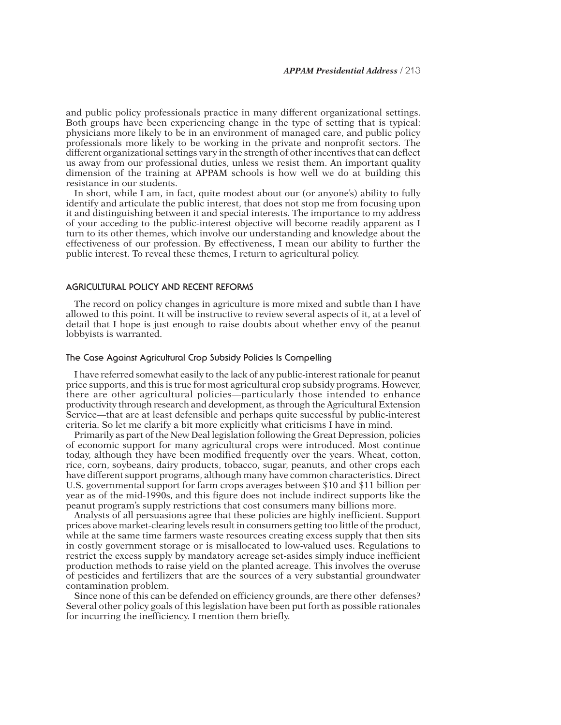and public policy professionals practice in many different organizational settings. Both groups have been experiencing change in the type of setting that is typical: physicians more likely to be in an environment of managed care, and public policy professionals more likely to be working in the private and nonprofit sectors. The different organizational settings vary in the strength of other incentives that can deflect us away from our professional duties, unless we resist them. An important quality dimension of the training at APPAM schools is how well we do at building this resistance in our students.

In short, while I am, in fact, quite modest about our (or anyone's) ability to fully identify and articulate the public interest, that does not stop me from focusing upon it and distinguishing between it and special interests. The importance to my address of your acceding to the public-interest objective will become readily apparent as I turn to its other themes, which involve our understanding and knowledge about the effectiveness of our profession. By effectiveness, I mean our ability to further the public interest. To reveal these themes, I return to agricultural policy.

## **AGRICULTURAL POLICY AND RECENT REFORMS**

The record on policy changes in agriculture is more mixed and subtle than I have allowed to this point. It will be instructive to review several aspects of it, at a level of detail that I hope is just enough to raise doubts about whether envy of the peanut lobbyists is warranted.

#### **The Case Against Agricultural Crop Subsidy Policies Is Compelling**

I have referred somewhat easily to the lack of any public-interest rationale for peanut price supports, and this is true for most agricultural crop subsidy programs. However, there are other agricultural policies—particularly those intended to enhance productivity through research and development, as through the Agricultural Extension Service—that are at least defensible and perhaps quite successful by public-interest criteria. So let me clarify a bit more explicitly what criticisms I have in mind.

Primarily as part of the New Deal legislation following the Great Depression, policies of economic support for many agricultural crops were introduced. Most continue today, although they have been modified frequently over the years. Wheat, cotton, rice, corn, soybeans, dairy products, tobacco, sugar, peanuts, and other crops each have different support programs, although many have common characteristics. Direct U.S. governmental support for farm crops averages between \$10 and \$11 billion per year as of the mid-1990s, and this figure does not include indirect supports like the peanut program's supply restrictions that cost consumers many billions more.

Analysts of all persuasions agree that these policies are highly inefficient. Support prices above market-clearing levels result in consumers getting too little of the product, while at the same time farmers waste resources creating excess supply that then sits in costly government storage or is misallocated to low-valued uses. Regulations to restrict the excess supply by mandatory acreage set-asides simply induce inefficient production methods to raise yield on the planted acreage. This involves the overuse of pesticides and fertilizers that are the sources of a very substantial groundwater contamination problem.

Since none of this can be defended on efficiency grounds, are there other defenses? Several other policy goals of this legislation have been put forth as possible rationales for incurring the inefficiency. I mention them briefly.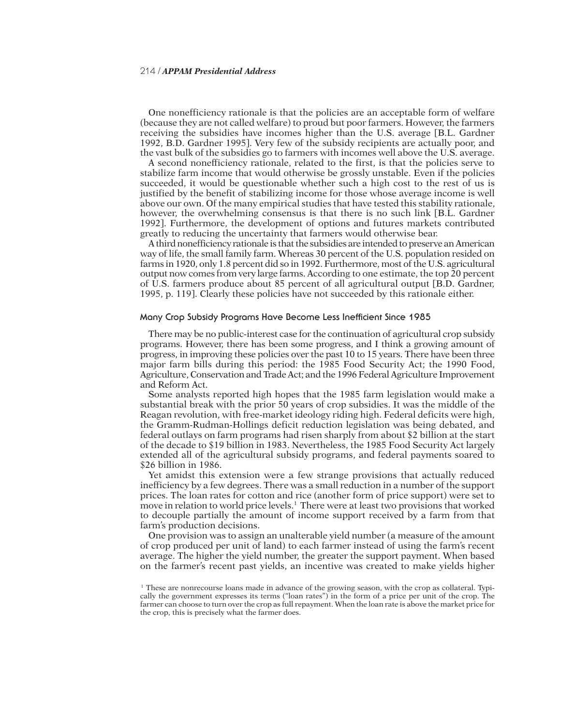One nonefficiency rationale is that the policies are an acceptable form of welfare (because they are not called welfare) to proud but poor farmers. However, the farmers receiving the subsidies have incomes higher than the U.S. average [B.L. Gardner 1992, B.D. Gardner 1995]. Very few of the subsidy recipients are actually poor, and the vast bulk of the subsidies go to farmers with incomes well above the U.S. average.

A second nonefficiency rationale, related to the first, is that the policies serve to stabilize farm income that would otherwise be grossly unstable. Even if the policies succeeded, it would be questionable whether such a high cost to the rest of us is justified by the benefit of stabilizing income for those whose average income is well above our own. Of the many empirical studies that have tested this stability rationale, however, the overwhelming consensus is that there is no such link [B.L. Gardner 1992]. Furthermore, the development of options and futures markets contributed greatly to reducing the uncertainty that farmers would otherwise bear.

A third nonefficiency rationale is that the subsidies are intended to preserve an American way of life, the small family farm. Whereas 30 percent of the U.S. population resided on farms in 1920, only 1.8 percent did so in 1992. Furthermore, most of the U.S. agricultural output now comes from very large farms. According to one estimate, the top 20 percent of U.S. farmers produce about 85 percent of all agricultural output [B.D. Gardner, 1995, p. 119]. Clearly these policies have not succeeded by this rationale either.

### **Many Crop Subsidy Programs Have Become Less Inefficient Since 1985**

There may be no public-interest case for the continuation of agricultural crop subsidy programs. However, there has been some progress, and I think a growing amount of progress, in improving these policies over the past 10 to 15 years. There have been three major farm bills during this period: the 1985 Food Security Act; the 1990 Food, Agriculture, Conservation and Trade Act; and the 1996 Federal Agriculture Improvement and Reform Act.

Some analysts reported high hopes that the 1985 farm legislation would make a substantial break with the prior 50 years of crop subsidies. It was the middle of the Reagan revolution, with free-market ideology riding high. Federal deficits were high, the Gramm-Rudman-Hollings deficit reduction legislation was being debated, and federal outlays on farm programs had risen sharply from about \$2 billion at the start of the decade to \$19 billion in 1983. Nevertheless, the 1985 Food Security Act largely extended all of the agricultural subsidy programs, and federal payments soared to \$26 billion in 1986.

Yet amidst this extension were a few strange provisions that actually reduced inefficiency by a few degrees. There was a small reduction in a number of the support prices. The loan rates for cotton and rice (another form of price support) were set to move in relation to world price levels.<sup>1</sup> There were at least two provisions that worked to decouple partially the amount of income support received by a farm from that farm's production decisions.

One provision was to assign an unalterable yield number (a measure of the amount of crop produced per unit of land) to each farmer instead of using the farm's recent average. The higher the yield number, the greater the support payment. When based on the farmer's recent past yields, an incentive was created to make yields higher

<sup>&</sup>lt;sup>1</sup> These are nonrecourse loans made in advance of the growing season, with the crop as collateral. Typically the government expresses its terms ("loan rates") in the form of a price per unit of the crop. The farmer can choose to turn over the crop as full repayment. When the loan rate is above the market price for the crop, this is precisely what the farmer does.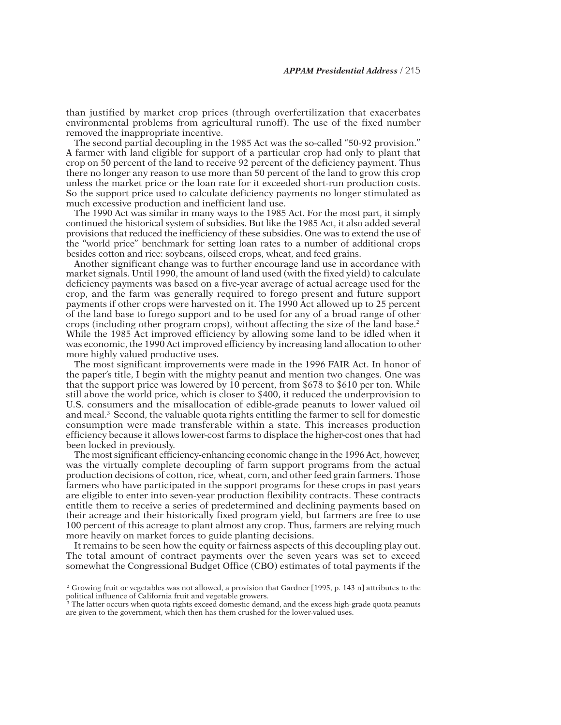than justified by market crop prices (through overfertilization that exacerbates environmental problems from agricultural runoff). The use of the fixed number removed the inappropriate incentive.

The second partial decoupling in the 1985 Act was the so-called "50-92 provision." A farmer with land eligible for support of a particular crop had only to plant that crop on 50 percent of the land to receive 92 percent of the deficiency payment. Thus there no longer any reason to use more than 50 percent of the land to grow this crop unless the market price or the loan rate for it exceeded short-run production costs. So the support price used to calculate deficiency payments no longer stimulated as much excessive production and inefficient land use.

The 1990 Act was similar in many ways to the 1985 Act. For the most part, it simply continued the historical system of subsidies. But like the 1985 Act, it also added several provisions that reduced the inefficiency of these subsidies. One was to extend the use of the "world price" benchmark for setting loan rates to a number of additional crops besides cotton and rice: soybeans, oilseed crops, wheat, and feed grains.

Another significant change was to further encourage land use in accordance with market signals. Until 1990, the amount of land used (with the fixed yield) to calculate deficiency payments was based on a five-year average of actual acreage used for the crop, and the farm was generally required to forego present and future support payments if other crops were harvested on it. The 1990 Act allowed up to 25 percent of the land base to forego support and to be used for any of a broad range of other crops (including other program crops), without affecting the size of the land base.<sup>2</sup> While the 1985 Act improved efficiency by allowing some land to be idled when it was economic, the 1990 Act improved efficiency by increasing land allocation to other more highly valued productive uses.

The most significant improvements were made in the 1996 FAIR Act. In honor of the paper's title, I begin with the mighty peanut and mention two changes. One was that the support price was lowered by 10 percent, from \$678 to \$610 per ton. While still above the world price, which is closer to \$400, it reduced the underprovision to U.S. consumers and the misallocation of edible-grade peanuts to lower valued oil and meal.3 Second, the valuable quota rights entitling the farmer to sell for domestic consumption were made transferable within a state. This increases production efficiency because it allows lower-cost farms to displace the higher-cost ones that had been locked in previously.

The most significant efficiency-enhancing economic change in the 1996 Act, however, was the virtually complete decoupling of farm support programs from the actual production decisions of cotton, rice, wheat, corn, and other feed grain farmers. Those farmers who have participated in the support programs for these crops in past years are eligible to enter into seven-year production flexibility contracts. These contracts entitle them to receive a series of predetermined and declining payments based on their acreage and their historically fixed program yield, but farmers are free to use 100 percent of this acreage to plant almost any crop. Thus, farmers are relying much more heavily on market forces to guide planting decisions.

It remains to be seen how the equity or fairness aspects of this decoupling play out. The total amount of contract payments over the seven years was set to exceed somewhat the Congressional Budget Office (CBO) estimates of total payments if the

<sup>&</sup>lt;sup>2</sup> Growing fruit or vegetables was not allowed, a provision that Gardner [1995, p. 143 n] attributes to the political influence of California fruit and vegetable growers.

 $^3$  The latter occurs when quota rights exceed domestic demand, and the excess high-grade quota peanuts are given to the government, which then has them crushed for the lower-valued uses.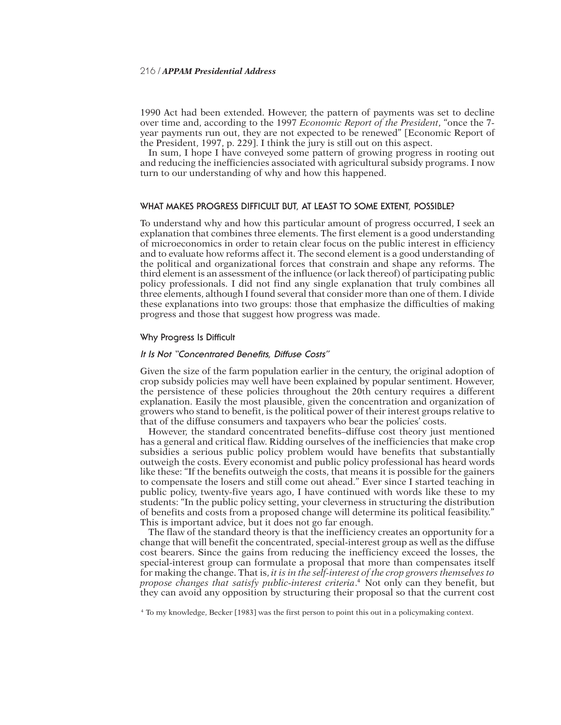1990 Act had been extended. However, the pattern of payments was set to decline over time and, according to the 1997 *Economic Report of the President*, "once the 7 year payments run out, they are not expected to be renewed" [Economic Report of the President, 1997, p. 229]. I think the jury is still out on this aspect.

In sum, I hope I have conveyed some pattern of growing progress in rooting out and reducing the inefficiencies associated with agricultural subsidy programs. I now turn to our understanding of why and how this happened.

## **WHAT MAKES PROGRESS DIFFICULT BUT, AT LEAST TO SOME EXTENT, POSSIBLE?**

To understand why and how this particular amount of progress occurred, I seek an explanation that combines three elements. The first element is a good understanding of microeconomics in order to retain clear focus on the public interest in efficiency and to evaluate how reforms affect it. The second element is a good understanding of the political and organizational forces that constrain and shape any reforms. The third element is an assessment of the influence (or lack thereof) of participating public policy professionals. I did not find any single explanation that truly combines all three elements, although I found several that consider more than one of them. I divide these explanations into two groups: those that emphasize the difficulties of making progress and those that suggest how progress was made.

## **Why Progress Is Difficult**

#### **It Is Not "Concentrated Benefits, Diffuse Costs"**

Given the size of the farm population earlier in the century, the original adoption of crop subsidy policies may well have been explained by popular sentiment. However, the persistence of these policies throughout the 20th century requires a different explanation. Easily the most plausible, given the concentration and organization of growers who stand to benefit, is the political power of their interest groups relative to that of the diffuse consumers and taxpayers who bear the policies' costs.

However, the standard concentrated benefits–diffuse cost theory just mentioned has a general and critical flaw. Ridding ourselves of the inefficiencies that make crop subsidies a serious public policy problem would have benefits that substantially outweigh the costs. Every economist and public policy professional has heard words like these: "If the benefits outweigh the costs, that means it is possible for the gainers to compensate the losers and still come out ahead." Ever since I started teaching in public policy, twenty-five years ago, I have continued with words like these to my students: "In the public policy setting, your cleverness in structuring the distribution of benefits and costs from a proposed change will determine its political feasibility." This is important advice, but it does not go far enough.

The flaw of the standard theory is that the inefficiency creates an opportunity for a change that will benefit the concentrated, special-interest group as well as the diffuse cost bearers. Since the gains from reducing the inefficiency exceed the losses, the special-interest group can formulate a proposal that more than compensates itself for making the change. That is, *it is in the self-interest of the crop growers themselves to propose changes that satisfy public-interest criteria*. 4 Not only can they benefit, but they can avoid any opposition by structuring their proposal so that the current cost

<sup>4</sup> To my knowledge, Becker [1983] was the first person to point this out in a policymaking context.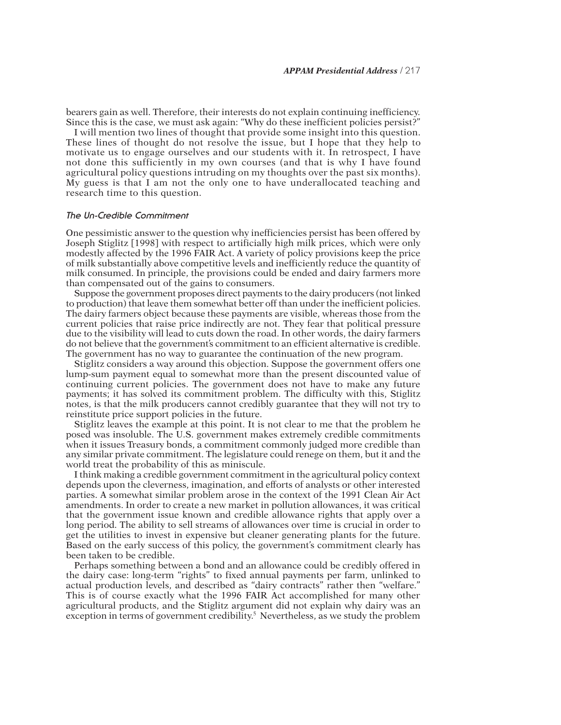bearers gain as well. Therefore, their interests do not explain continuing inefficiency. Since this is the case, we must ask again: "Why do these inefficient policies persist?"

I will mention two lines of thought that provide some insight into this question. These lines of thought do not resolve the issue, but I hope that they help to motivate us to engage ourselves and our students with it. In retrospect, I have not done this sufficiently in my own courses (and that is why I have found agricultural policy questions intruding on my thoughts over the past six months). My guess is that I am not the only one to have underallocated teaching and research time to this question.

## **The Un-Credible Commitment**

One pessimistic answer to the question why inefficiencies persist has been offered by Joseph Stiglitz [1998] with respect to artificially high milk prices, which were only modestly affected by the 1996 FAIR Act. A variety of policy provisions keep the price of milk substantially above competitive levels and inefficiently reduce the quantity of milk consumed. In principle, the provisions could be ended and dairy farmers more than compensated out of the gains to consumers.

Suppose the government proposes direct payments to the dairy producers (not linked to production) that leave them somewhat better off than under the inefficient policies. The dairy farmers object because these payments are visible, whereas those from the current policies that raise price indirectly are not. They fear that political pressure due to the visibility will lead to cuts down the road. In other words, the dairy farmers do not believe that the government's commitment to an efficient alternative is credible. The government has no way to guarantee the continuation of the new program.

Stiglitz considers a way around this objection. Suppose the government offers one lump-sum payment equal to somewhat more than the present discounted value of continuing current policies. The government does not have to make any future payments; it has solved its commitment problem. The difficulty with this, Stiglitz notes, is that the milk producers cannot credibly guarantee that they will not try to reinstitute price support policies in the future.

Stiglitz leaves the example at this point. It is not clear to me that the problem he posed was insoluble. The U.S. government makes extremely credible commitments when it issues Treasury bonds, a commitment commonly judged more credible than any similar private commitment. The legislature could renege on them, but it and the world treat the probability of this as miniscule.

I think making a credible government commitment in the agricultural policy context depends upon the cleverness, imagination, and efforts of analysts or other interested parties. A somewhat similar problem arose in the context of the 1991 Clean Air Act amendments. In order to create a new market in pollution allowances, it was critical that the government issue known and credible allowance rights that apply over a long period. The ability to sell streams of allowances over time is crucial in order to get the utilities to invest in expensive but cleaner generating plants for the future. Based on the early success of this policy, the government's commitment clearly has been taken to be credible.

Perhaps something between a bond and an allowance could be credibly offered in the dairy case: long-term "rights" to fixed annual payments per farm, unlinked to actual production levels, and described as "dairy contracts" rather then "welfare." This is of course exactly what the 1996 FAIR Act accomplished for many other agricultural products, and the Stiglitz argument did not explain why dairy was an exception in terms of government credibility.<sup>5</sup> Nevertheless, as we study the problem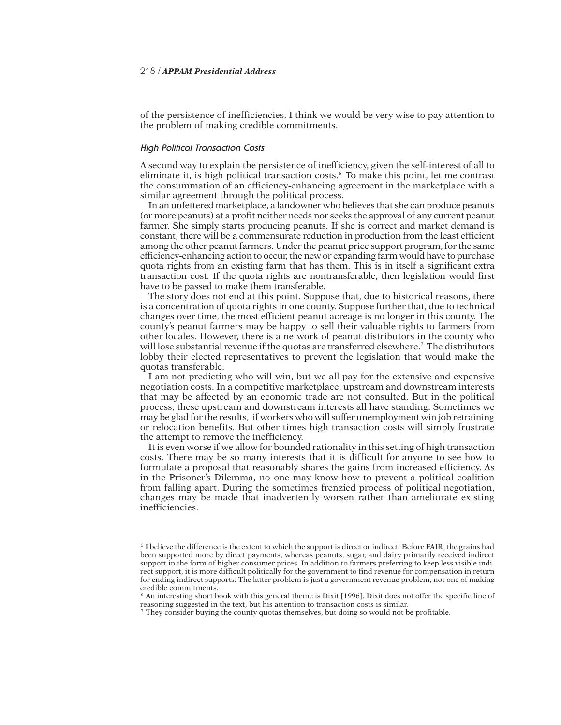of the persistence of inefficiencies, I think we would be very wise to pay attention to the problem of making credible commitments.

#### **High Political Transaction Costs**

A second way to explain the persistence of inefficiency, given the self-interest of all to eliminate it, is high political transaction costs.6 To make this point, let me contrast the consummation of an efficiency-enhancing agreement in the marketplace with a similar agreement through the political process.

In an unfettered marketplace, a landowner who believes that she can produce peanuts (or more peanuts) at a profit neither needs nor seeks the approval of any current peanut farmer. She simply starts producing peanuts. If she is correct and market demand is constant, there will be a commensurate reduction in production from the least efficient among the other peanut farmers. Under the peanut price support program, for the same efficiency-enhancing action to occur, the new or expanding farm would have to purchase quota rights from an existing farm that has them. This is in itself a significant extra transaction cost. If the quota rights are nontransferable, then legislation would first have to be passed to make them transferable.

The story does not end at this point. Suppose that, due to historical reasons, there is a concentration of quota rights in one county. Suppose further that, due to technical changes over time, the most efficient peanut acreage is no longer in this county. The county's peanut farmers may be happy to sell their valuable rights to farmers from other locales. However, there is a network of peanut distributors in the county who will lose substantial revenue if the quotas are transferred elsewhere.<sup>7</sup> The distributors lobby their elected representatives to prevent the legislation that would make the quotas transferable.

I am not predicting who will win, but we all pay for the extensive and expensive negotiation costs. In a competitive marketplace, upstream and downstream interests that may be affected by an economic trade are not consulted. But in the political process, these upstream and downstream interests all have standing. Sometimes we may be glad for the results, if workers who will suffer unemployment win job retraining or relocation benefits. But other times high transaction costs will simply frustrate the attempt to remove the inefficiency.

It is even worse if we allow for bounded rationality in this setting of high transaction costs. There may be so many interests that it is difficult for anyone to see how to formulate a proposal that reasonably shares the gains from increased efficiency. As in the Prisoner's Dilemma, no one may know how to prevent a political coalition from falling apart. During the sometimes frenzied process of political negotiation, changes may be made that inadvertently worsen rather than ameliorate existing inefficiencies.

<sup>5</sup> I believe the difference is the extent to which the support is direct or indirect. Before FAIR, the grains had been supported more by direct payments, whereas peanuts, sugar, and dairy primarily received indirect support in the form of higher consumer prices. In addition to farmers preferring to keep less visible indirect support, it is more difficult politically for the government to find revenue for compensation in return for ending indirect supports. The latter problem is just a government revenue problem, not one of making credible commitments.

<sup>6</sup> An interesting short book with this general theme is Dixit [1996]. Dixit does not offer the specific line of reasoning suggested in the text, but his attention to transaction costs is similar.

<sup>7</sup> They consider buying the county quotas themselves, but doing so would not be profitable.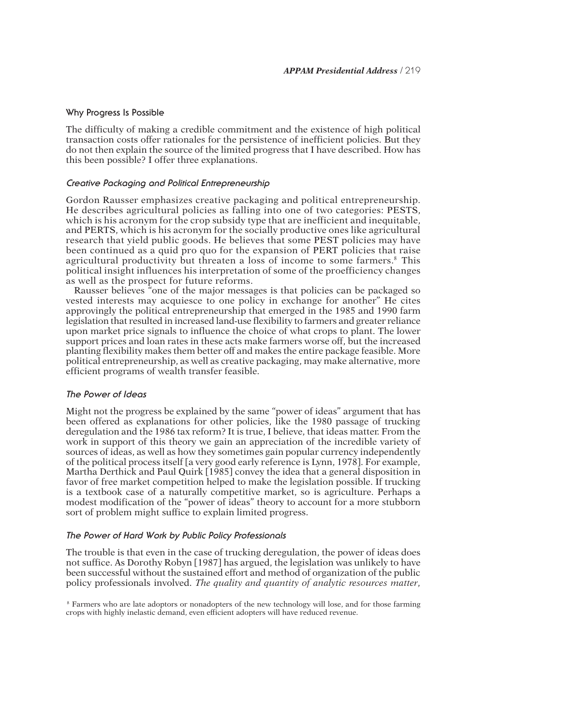### **Why Progress Is Possible**

The difficulty of making a credible commitment and the existence of high political transaction costs offer rationales for the persistence of inefficient policies. But they do not then explain the source of the limited progress that I have described. How has this been possible? I offer three explanations.

#### **Creative Packaging and Political Entrepreneurship**

Gordon Rausser emphasizes creative packaging and political entrepreneurship. He describes agricultural policies as falling into one of two categories: PESTS, which is his acronym for the crop subsidy type that are inefficient and inequitable, and PERTS, which is his acronym for the socially productive ones like agricultural research that yield public goods. He believes that some PEST policies may have been continued as a quid pro quo for the expansion of PERT policies that raise agricultural productivity but threaten a loss of income to some farmers.<sup>8</sup> This political insight influences his interpretation of some of the proefficiency changes as well as the prospect for future reforms.

Rausser believes "one of the major messages is that policies can be packaged so vested interests may acquiesce to one policy in exchange for another" He cites approvingly the political entrepreneurship that emerged in the 1985 and 1990 farm legislation that resulted in increased land-use flexibility to farmers and greater reliance upon market price signals to influence the choice of what crops to plant. The lower support prices and loan rates in these acts make farmers worse off, but the increased planting flexibility makes them better off and makes the entire package feasible. More political entrepreneurship, as well as creative packaging, may make alternative, more efficient programs of wealth transfer feasible.

# **The Power of Ideas**

Might not the progress be explained by the same "power of ideas" argument that has been offered as explanations for other policies, like the 1980 passage of trucking deregulation and the 1986 tax reform? It is true, I believe, that ideas matter. From the work in support of this theory we gain an appreciation of the incredible variety of sources of ideas, as well as how they sometimes gain popular currency independently of the political process itself [a very good early reference is Lynn, 1978]. For example, Martha Derthick and Paul Quirk [1985] convey the idea that a general disposition in favor of free market competition helped to make the legislation possible. If trucking is a textbook case of a naturally competitive market, so is agriculture. Perhaps a modest modification of the "power of ideas" theory to account for a more stubborn sort of problem might suffice to explain limited progress.

## **The Power of Hard Work by Public Policy Professionals**

The trouble is that even in the case of trucking deregulation, the power of ideas does not suffice. As Dorothy Robyn [1987] has argued, the legislation was unlikely to have been successful without the sustained effort and method of organization of the public policy professionals involved. *The quality and quantity of analytic resources matter*,

8 Farmers who are late adoptors or nonadopters of the new technology will lose, and for those farming crops with highly inelastic demand, even efficient adopters will have reduced revenue.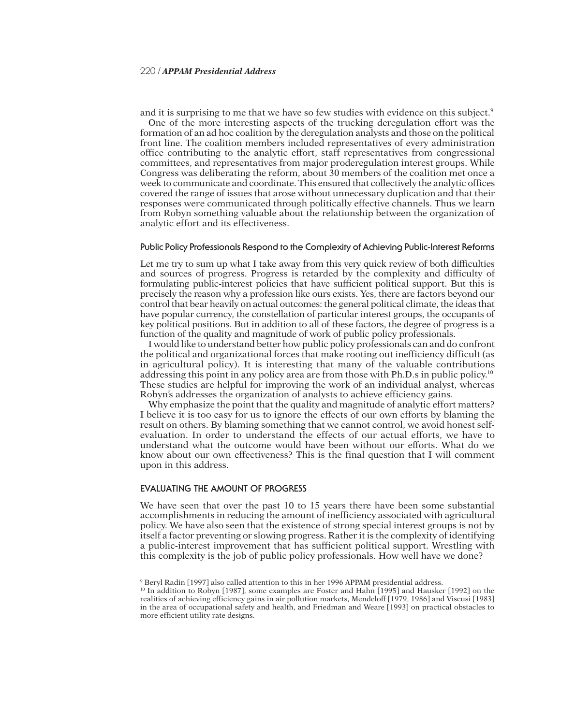and it is surprising to me that we have so few studies with evidence on this subject.<sup>9</sup> One of the more interesting aspects of the trucking deregulation effort was the formation of an ad hoc coalition by the deregulation analysts and those on the political front line. The coalition members included representatives of every administration office contributing to the analytic effort, staff representatives from congressional committees, and representatives from major proderegulation interest groups. While Congress was deliberating the reform, about 30 members of the coalition met once a week to communicate and coordinate. This ensured that collectively the analytic offices covered the range of issues that arose without unnecessary duplication and that their responses were communicated through politically effective channels. Thus we learn from Robyn something valuable about the relationship between the organization of analytic effort and its effectiveness.

# **Public Policy Professionals Respond to the Complexity of Achieving Public-Interest Reforms**

Let me try to sum up what I take away from this very quick review of both difficulties and sources of progress. Progress is retarded by the complexity and difficulty of formulating public-interest policies that have sufficient political support. But this is precisely the reason why a profession like ours exists. Yes, there are factors beyond our control that bear heavily on actual outcomes: the general political climate, the ideas that have popular currency, the constellation of particular interest groups, the occupants of key political positions. But in addition to all of these factors, the degree of progress is a function of the quality and magnitude of work of public policy professionals.

I would like to understand better how public policy professionals can and do confront the political and organizational forces that make rooting out inefficiency difficult (as in agricultural policy). It is interesting that many of the valuable contributions addressing this point in any policy area are from those with Ph.D.s in public policy.10 These studies are helpful for improving the work of an individual analyst, whereas Robyn's addresses the organization of analysts to achieve efficiency gains.

Why emphasize the point that the quality and magnitude of analytic effort matters? I believe it is too easy for us to ignore the effects of our own efforts by blaming the result on others. By blaming something that we cannot control, we avoid honest selfevaluation. In order to understand the effects of our actual efforts, we have to understand what the outcome would have been without our efforts. What do we know about our own effectiveness? This is the final question that I will comment upon in this address.

## **EVALUATING THE AMOUNT OF PROGRESS**

We have seen that over the past 10 to 15 years there have been some substantial accomplishments in reducing the amount of inefficiency associated with agricultural policy. We have also seen that the existence of strong special interest groups is not by itself a factor preventing or slowing progress. Rather it is the complexity of identifying a public-interest improvement that has sufficient political support. Wrestling with this complexity is the job of public policy professionals. How well have we done?

<sup>9</sup> Beryl Radin [1997] also called attention to this in her 1996 APPAM presidential address.

<sup>10</sup> In addition to Robyn [1987], some examples are Foster and Hahn [1995] and Hausker [1992] on the realities of achieving efficiency gains in air pollution markets, Mendeloff [1979, 1986] and Viscusi [1983] in the area of occupational safety and health, and Friedman and Weare [1993] on practical obstacles to more efficient utility rate designs.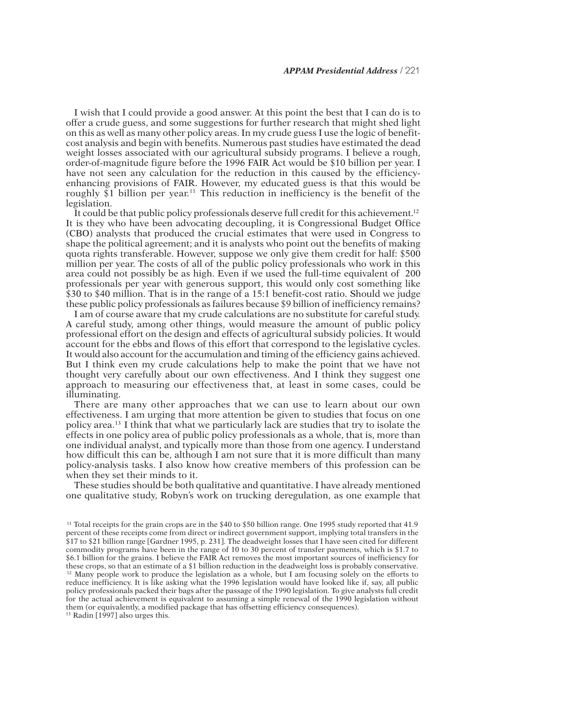I wish that I could provide a good answer. At this point the best that I can do is to offer a crude guess, and some suggestions for further research that might shed light on this as well as many other policy areas. In my crude guess I use the logic of benefitcost analysis and begin with benefits. Numerous past studies have estimated the dead weight losses associated with our agricultural subsidy programs. I believe a rough, order-of-magnitude figure before the 1996 FAIR Act would be \$10 billion per year. I have not seen any calculation for the reduction in this caused by the efficiencyenhancing provisions of FAIR. However, my educated guess is that this would be roughly  $\tilde{\$1}$  billion per year.<sup>11</sup> This reduction in inefficiency is the benefit of the legislation.

It could be that public policy professionals deserve full credit for this achievement.<sup>12</sup> It is they who have been advocating decoupling, it is Congressional Budget Office (CBO) analysts that produced the crucial estimates that were used in Congress to shape the political agreement; and it is analysts who point out the benefits of making quota rights transferable. However, suppose we only give them credit for half: \$500 million per year. The costs of all of the public policy professionals who work in this area could not possibly be as high. Even if we used the full-time equivalent of 200 professionals per year with generous support, this would only cost something like \$30 to \$40 million. That is in the range of a 15:1 benefit-cost ratio. Should we judge these public policy professionals as failures because \$9 billion of inefficiency remains?

I am of course aware that my crude calculations are no substitute for careful study. A careful study, among other things, would measure the amount of public policy professional effort on the design and effects of agricultural subsidy policies. It would account for the ebbs and flows of this effort that correspond to the legislative cycles. It would also account for the accumulation and timing of the efficiency gains achieved. But I think even my crude calculations help to make the point that we have not thought very carefully about our own effectiveness. And I think they suggest one approach to measuring our effectiveness that, at least in some cases, could be illuminating.

There are many other approaches that we can use to learn about our own effectiveness. I am urging that more attention be given to studies that focus on one policy area.13 I think that what we particularly lack are studies that try to isolate the effects in one policy area of public policy professionals as a whole, that is, more than one individual analyst, and typically more than those from one agency. I understand how difficult this can be, although I am not sure that it is more difficult than many policy-analysis tasks. I also know how creative members of this profession can be when they set their minds to it.

These studies should be both qualitative and quantitative. I have already mentioned one qualitative study, Robyn's work on trucking deregulation, as one example that

13 Radin [1997] also urges this.

<sup>11</sup> Total receipts for the grain crops are in the \$40 to \$50 billion range. One 1995 study reported that 41.9 percent of these receipts come from direct or indirect government support, implying total transfers in the \$17 to \$21 billion range [Gardner 1995, p. 231]. The deadweight losses that I have seen cited for different commodity programs have been in the range of 10 to 30 percent of transfer payments, which is \$1.7 to \$6.1 billion for the grains. I believe the FAIR Act removes the most important sources of inefficiency for these crops, so that an estimate of a \$1 billion reduction in the deadweight loss is probably conservative. 12 Many people work to produce the legislation as a whole, but I am focusing solely on the efforts to reduce inefficiency. It is like asking what the 1996 legislation would have looked like if, say, all public policy professionals packed their bags after the passage of the 1990 legislation. To give analysts full credit for the actual achievement is equivalent to assuming a simple renewal of the 1990 legislation without them (or equivalently, a modified package that has offsetting efficiency consequences).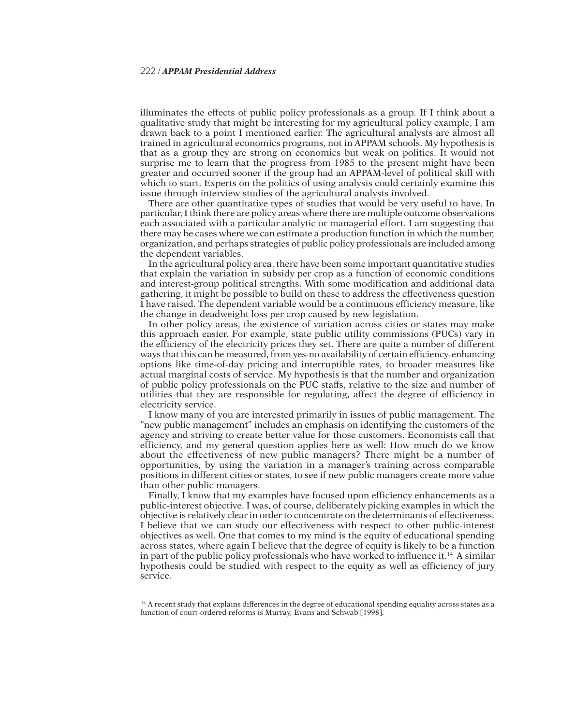illuminates the effects of public policy professionals as a group. If I think about a qualitative study that might be interesting for my agricultural policy example, I am drawn back to a point I mentioned earlier. The agricultural analysts are almost all trained in agricultural economics programs, not in APPAM schools. My hypothesis is that as a group they are strong on economics but weak on politics. It would not surprise me to learn that the progress from 1985 to the present might have been greater and occurred sooner if the group had an APPAM-level of political skill with which to start. Experts on the politics of using analysis could certainly examine this issue through interview studies of the agricultural analysts involved.

There are other quantitative types of studies that would be very useful to have. In particular, I think there are policy areas where there are multiple outcome observations each associated with a particular analytic or managerial effort. I am suggesting that there may be cases where we can estimate a production function in which the number, organization, and perhaps strategies of public policy professionals are included among the dependent variables.

In the agricultural policy area, there have been some important quantitative studies that explain the variation in subsidy per crop as a function of economic conditions and interest-group political strengths. With some modification and additional data gathering, it might be possible to build on these to address the effectiveness question I have raised. The dependent variable would be a continuous efficiency measure, like the change in deadweight loss per crop caused by new legislation.

In other policy areas, the existence of variation across cities or states may make this approach easier. For example, state public utility commissions (PUCs) vary in the efficiency of the electricity prices they set. There are quite a number of different ways that this can be measured, from yes-no availability of certain efficiency-enhancing options like time-of-day pricing and interruptible rates, to broader measures like actual marginal costs of service. My hypothesis is that the number and organization of public policy professionals on the PUC staffs, relative to the size and number of utilities that they are responsible for regulating, affect the degree of efficiency in electricity service.

I know many of you are interested primarily in issues of public management. The "new public management" includes an emphasis on identifying the customers of the agency and striving to create better value for those customers. Economists call that efficiency, and my general question applies here as well: How much do we know about the effectiveness of new public managers? There might be a number of opportunities, by using the variation in a manager's training across comparable positions in different cities or states, to see if new public managers create more value than other public managers.

Finally, I know that my examples have focused upon efficiency enhancements as a public-interest objective. I was, of course, deliberately picking examples in which the objective is relatively clear in order to concentrate on the determinants of effectiveness. I believe that we can study our effectiveness with respect to other public-interest objectives as well. One that comes to my mind is the equity of educational spending across states, where again I believe that the degree of equity is likely to be a function in part of the public policy professionals who have worked to influence it.<sup>14</sup> A similar hypothesis could be studied with respect to the equity as well as efficiency of jury service.

<sup>&</sup>lt;sup>14</sup> A recent study that explains differences in the degree of educational spending equality across states as a function of court-ordered reforms is Murray, Evans and Schwab [1998].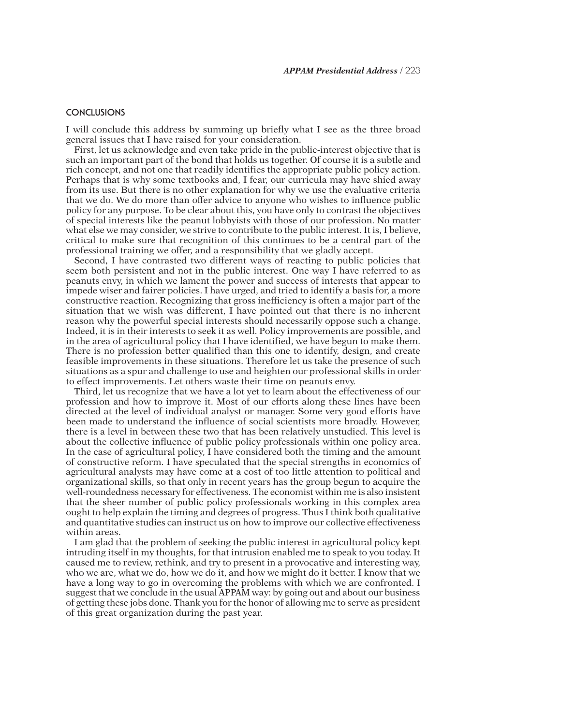# **CONCLUSIONS**

I will conclude this address by summing up briefly what I see as the three broad general issues that I have raised for your consideration.

First, let us acknowledge and even take pride in the public-interest objective that is such an important part of the bond that holds us together. Of course it is a subtle and rich concept, and not one that readily identifies the appropriate public policy action. Perhaps that is why some textbooks and, I fear, our curricula may have shied away from its use. But there is no other explanation for why we use the evaluative criteria that we do. We do more than offer advice to anyone who wishes to influence public policy for any purpose. To be clear about this, you have only to contrast the objectives of special interests like the peanut lobbyists with those of our profession. No matter what else we may consider, we strive to contribute to the public interest. It is, I believe, critical to make sure that recognition of this continues to be a central part of the professional training we offer, and a responsibility that we gladly accept.

Second, I have contrasted two different ways of reacting to public policies that seem both persistent and not in the public interest. One way I have referred to as peanuts envy, in which we lament the power and success of interests that appear to impede wiser and fairer policies. I have urged, and tried to identify a basis for, a more constructive reaction. Recognizing that gross inefficiency is often a major part of the situation that we wish was different, I have pointed out that there is no inherent reason why the powerful special interests should necessarily oppose such a change. Indeed, it is in their interests to seek it as well. Policy improvements are possible, and in the area of agricultural policy that I have identified, we have begun to make them. There is no profession better qualified than this one to identify, design, and create feasible improvements in these situations. Therefore let us take the presence of such situations as a spur and challenge to use and heighten our professional skills in order to effect improvements. Let others waste their time on peanuts envy.

Third, let us recognize that we have a lot yet to learn about the effectiveness of our profession and how to improve it. Most of our efforts along these lines have been directed at the level of individual analyst or manager. Some very good efforts have been made to understand the influence of social scientists more broadly. However, there is a level in between these two that has been relatively unstudied. This level is about the collective influence of public policy professionals within one policy area. In the case of agricultural policy, I have considered both the timing and the amount of constructive reform. I have speculated that the special strengths in economics of agricultural analysts may have come at a cost of too little attention to political and organizational skills, so that only in recent years has the group begun to acquire the well-roundedness necessary for effectiveness. The economist within me is also insistent that the sheer number of public policy professionals working in this complex area ought to help explain the timing and degrees of progress. Thus I think both qualitative and quantitative studies can instruct us on how to improve our collective effectiveness within areas.

I am glad that the problem of seeking the public interest in agricultural policy kept intruding itself in my thoughts, for that intrusion enabled me to speak to you today. It caused me to review, rethink, and try to present in a provocative and interesting way, who we are, what we do, how we do it, and how we might do it better. I know that we have a long way to go in overcoming the problems with which we are confronted. I suggest that we conclude in the usual APPAM way: by going out and about our business of getting these jobs done. Thank you for the honor of allowing me to serve as president of this great organization during the past year.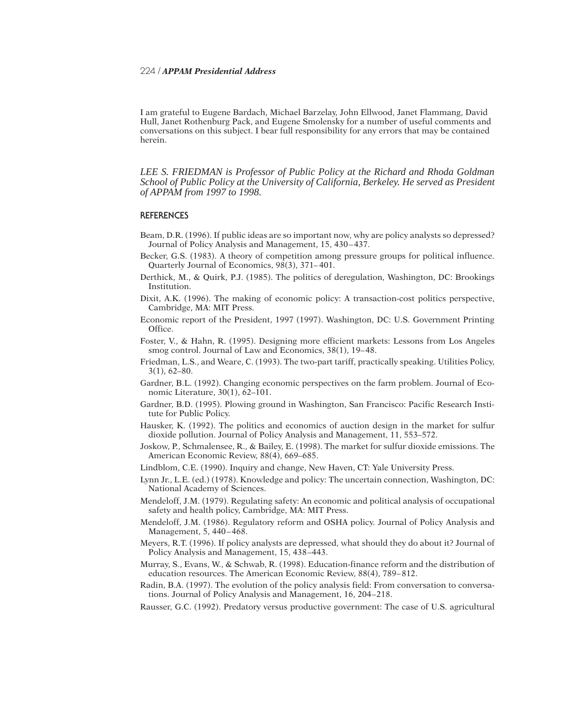I am grateful to Eugene Bardach, Michael Barzelay, John Ellwood, Janet Flammang, David Hull, Janet Rothenburg Pack, and Eugene Smolensky for a number of useful comments and conversations on this subject. I bear full responsibility for any errors that may be contained herein.

*LEE S. FRIEDMAN is Professor of Public Policy at the Richard and Rhoda Goldman School of Public Policy at the University of California, Berkeley. He served as President of APPAM from 1997 to 1998.*

#### **REFERENCES**

- Beam, D.R. (1996). If public ideas are so important now, why are policy analysts so depressed? Journal of Policy Analysis and Management, 15, 430–437.
- Becker, G.S. (1983). A theory of competition among pressure groups for political influence. Quarterly Journal of Economics, 98(3), 371– 401.
- Derthick, M., & Quirk, P.J. (1985). The politics of deregulation, Washington, DC: Brookings Institution.
- Dixit, A.K. (1996). The making of economic policy: A transaction-cost politics perspective, Cambridge, MA: MIT Press.
- Economic report of the President, 1997 (1997). Washington, DC: U.S. Government Printing Office.
- Foster, V., & Hahn, R. (1995). Designing more efficient markets: Lessons from Los Angeles smog control. Journal of Law and Economics, 38(1), 19–48.
- Friedman, L.S., and Weare, C. (1993). The two-part tariff, practically speaking. Utilities Policy, 3(1), 62–80.
- Gardner, B.L. (1992). Changing economic perspectives on the farm problem. Journal of Economic Literature, 30(1), 62–101.
- Gardner, B.D. (1995). Plowing ground in Washington, San Francisco: Pacific Research Institute for Public Policy.
- Hausker, K. (1992). The politics and economics of auction design in the market for sulfur dioxide pollution. Journal of Policy Analysis and Management, 11, 553–572.
- Joskow, P., Schmalensee, R., & Bailey, E. (1998). The market for sulfur dioxide emissions. The American Economic Review, 88(4), 669–685.
- Lindblom, C.E. (1990). Inquiry and change, New Haven, CT: Yale University Press.
- Lynn Jr., L.E. (ed.) (1978). Knowledge and policy: The uncertain connection, Washington, DC: National Academy of Sciences.
- Mendeloff, J.M. (1979). Regulating safety: An economic and political analysis of occupational safety and health policy, Cambridge, MA: MIT Press.
- Mendeloff, J.M. (1986). Regulatory reform and OSHA policy. Journal of Policy Analysis and Management, 5, 440–468.
- Meyers, R.T. (1996). If policy analysts are depressed, what should they do about it? Journal of Policy Analysis and Management, 15, 438–443.
- Murray, S., Evans, W., & Schwab, R. (1998). Education-finance reform and the distribution of education resources. The American Economic Review, 88(4), 789–812.
- Radin, B.A. (1997). The evolution of the policy analysis field: From conversation to conversations. Journal of Policy Analysis and Management, 16, 204–218.
- Rausser, G.C. (1992). Predatory versus productive government: The case of U.S. agricultural